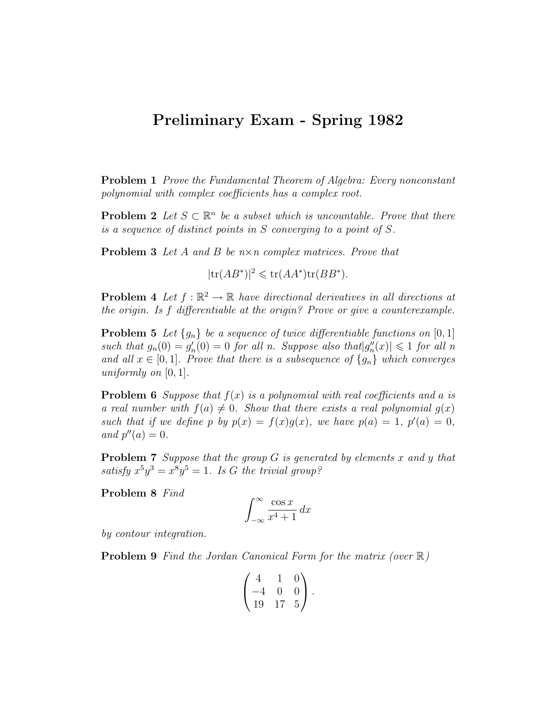## Preliminary Exam - Spring 1982

Problem 1 Prove the Fundamental Theorem of Algebra: Every nonconstant polynomial with complex coefficients has a complex root.

**Problem 2** Let  $S \subset \mathbb{R}^n$  be a subset which is uncountable. Prove that there is a sequence of distinct points in S converging to a point of S.

**Problem 3** Let A and B be  $n \times n$  complex matrices. Prove that

 $|\text{tr}(AB^*)|^2 \leq \text{tr}(AA^*)\text{tr}(BB^*).$ 

**Problem 4** Let  $f : \mathbb{R}^2 \to \mathbb{R}$  have directional derivatives in all directions at the origin. Is f differentiable at the origin? Prove or give a counterexample.

**Problem 5** Let  $\{g_n\}$  be a sequence of twice differentiable functions on [0, 1] such that  $g_n(0) = g'_n(0) = 0$  for all n. Suppose also that  $|g''_n(x)| \leq 1$  for all n and all  $x \in [0,1]$ . Prove that there is a subsequence of  $\{g_n\}$  which converges uniformly on  $[0, 1]$ .

**Problem 6** Suppose that  $f(x)$  is a polynomial with real coefficients and a is a real number with  $f(a) \neq 0$ . Show that there exists a real polynomial  $g(x)$ such that if we define p by  $p(x) = f(x)g(x)$ , we have  $p(a) = 1$ ,  $p'(a) = 0$ , and  $p''(a) = 0$ .

**Problem 7** Suppose that the group  $G$  is generated by elements  $x$  and  $y$  that satisfy  $x^5y^3 = x^8y^5 = 1$ . Is G the trivial group?

Problem 8 Find

$$
\int_{-\infty}^{\infty} \frac{\cos x}{x^4 + 1} \, dx
$$

by contour integration.

**Problem 9** Find the Jordan Canonical Form for the matrix (over  $\mathbb{R}$ )

$$
\begin{pmatrix} 4 & 1 & 0 \ -4 & 0 & 0 \ 19 & 17 & 5 \end{pmatrix}.
$$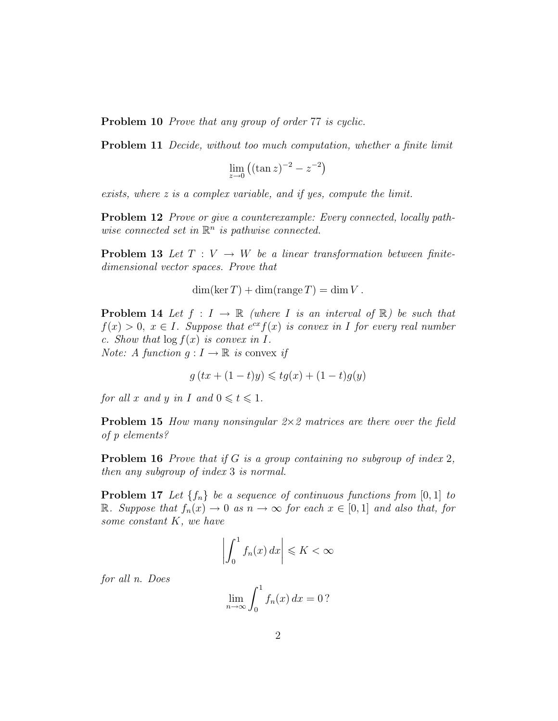Problem 10 *Prove that any group of order 77 is cyclic.* 

Problem 11 Decide, without too much computation, whether a finite limit

$$
\lim_{z \to 0} \left( (\tan z)^{-2} - z^{-2} \right)
$$

exists, where z is a complex variable, and if yes, compute the limit.

Problem 12 Prove or give a counterexample: Every connected, locally pathwise connected set in  $\mathbb{R}^n$  is pathwise connected.

**Problem 13** Let  $T: V \to W$  be a linear transformation between finitedimensional vector spaces. Prove that

 $\dim(\ker T) + \dim(\operatorname{range} T) = \dim V$ .

**Problem 14** Let  $f : I \to \mathbb{R}$  (where I is an interval of  $\mathbb{R}$ ) be such that  $f(x) > 0$ ,  $x \in I$ . Suppose that  $e^{cx} f(x)$  is convex in I for every real number c. Show that  $\log f(x)$  is convex in I. *Note:* A function  $q: I \to \mathbb{R}$  is convex if

$$
g(tx+(1-t)y) \leqslant tg(x)+(1-t)g(y)
$$

for all x and y in I and  $0 \leq t \leq 1$ .

**Problem 15** How many nonsingular  $2\times 2$  matrices are there over the field of p elements?

**Problem 16** Prove that if G is a group containing no subgroup of index 2, then any subgroup of index 3 is normal.

**Problem 17** Let  $\{f_n\}$  be a sequence of continuous functions from [0, 1] to R. Suppose that  $f_n(x) \to 0$  as  $n \to \infty$  for each  $x \in [0,1]$  and also that, for some constant K, we have

$$
\left| \int_0^1 f_n(x) \, dx \right| \leqslant K < \infty
$$

for all n. Does

$$
\lim_{n \to \infty} \int_0^1 f_n(x) \, dx = 0?
$$